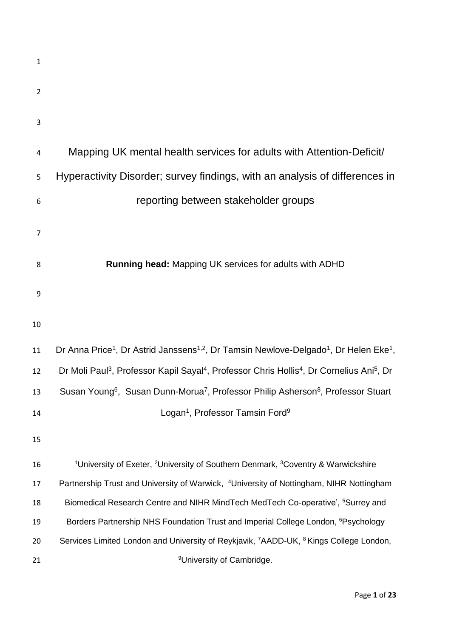| $\mathbf{1}$   |                                                                                                                                           |
|----------------|-------------------------------------------------------------------------------------------------------------------------------------------|
| $\overline{2}$ |                                                                                                                                           |
| 3              |                                                                                                                                           |
| 4              | Mapping UK mental health services for adults with Attention-Deficit/                                                                      |
|                |                                                                                                                                           |
| 5              | Hyperactivity Disorder; survey findings, with an analysis of differences in                                                               |
| 6              | reporting between stakeholder groups                                                                                                      |
|                |                                                                                                                                           |
| $\overline{7}$ |                                                                                                                                           |
| 8              | <b>Running head: Mapping UK services for adults with ADHD</b>                                                                             |
|                |                                                                                                                                           |
| 9              |                                                                                                                                           |
| 10             |                                                                                                                                           |
|                |                                                                                                                                           |
| 11             | Dr Anna Price <sup>1</sup> , Dr Astrid Janssens <sup>1,2</sup> , Dr Tamsin Newlove-Delgado <sup>1</sup> , Dr Helen Eke <sup>1</sup> ,     |
| 12             | Dr Moli Paul <sup>3</sup> , Professor Kapil Sayal <sup>4</sup> , Professor Chris Hollis <sup>4</sup> , Dr Cornelius Ani <sup>5</sup> , Dr |
| 13             | Susan Young <sup>6</sup> , Susan Dunn-Morua <sup>7</sup> , Professor Philip Asherson <sup>8</sup> , Professor Stuart                      |
| 14             | Logan <sup>1</sup> , Professor Tamsin Ford <sup>9</sup>                                                                                   |
|                |                                                                                                                                           |
| 15             |                                                                                                                                           |
| 16             | <sup>1</sup> University of Exeter, <sup>2</sup> University of Southern Denmark, <sup>3</sup> Coventry & Warwickshire                      |
| 17             | Partnership Trust and University of Warwick, <sup>4</sup> University of Nottingham, NIHR Nottingham                                       |
| 18             | Biomedical Research Centre and NIHR MindTech MedTech Co-operative', <sup>5</sup> Surrey and                                               |
| 19             | Borders Partnership NHS Foundation Trust and Imperial College London, <sup>6</sup> Psychology                                             |
| 20             | Services Limited London and University of Reykjavik, <sup>7</sup> AADD-UK, <sup>8</sup> Kings College London,                             |
| 21             | <sup>9</sup> University of Cambridge.                                                                                                     |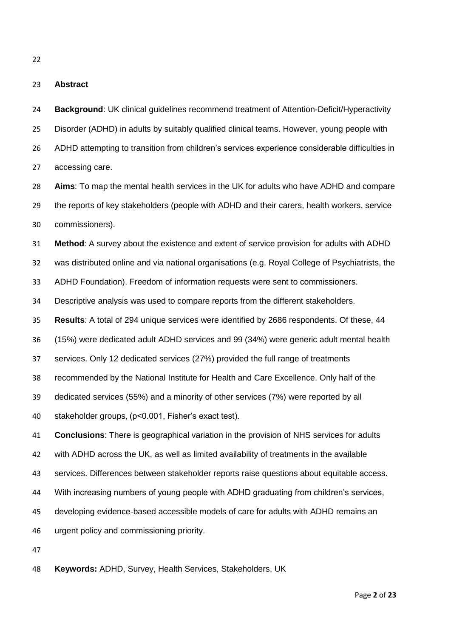### **Abstract**

 **Background**: UK clinical guidelines recommend treatment of Attention-Deficit/Hyperactivity Disorder (ADHD) in adults by suitably qualified clinical teams. However, young people with ADHD attempting to transition from children's services experience considerable difficulties in accessing care. **Aims**: To map the mental health services in the UK for adults who have ADHD and compare the reports of key stakeholders (people with ADHD and their carers, health workers, service commissioners). **Method**: A survey about the existence and extent of service provision for adults with ADHD was distributed online and via national organisations (e.g. Royal College of Psychiatrists, the ADHD Foundation). Freedom of information requests were sent to commissioners. Descriptive analysis was used to compare reports from the different stakeholders. **Results**: A total of 294 unique services were identified by 2686 respondents. Of these, 44 (15%) were dedicated adult ADHD services and 99 (34%) were generic adult mental health services. Only 12 dedicated services (27%) provided the full range of treatments recommended by the National Institute for Health and Care Excellence. Only half of the dedicated services (55%) and a minority of other services (7%) were reported by all stakeholder groups, (p<0.001, Fisher's exact test). **Conclusions**: There is geographical variation in the provision of NHS services for adults with ADHD across the UK, as well as limited availability of treatments in the available services. Differences between stakeholder reports raise questions about equitable access. With increasing numbers of young people with ADHD graduating from children's services, developing evidence-based accessible models of care for adults with ADHD remains an urgent policy and commissioning priority.

- 
- **Keywords:** ADHD, Survey, Health Services, Stakeholders, UK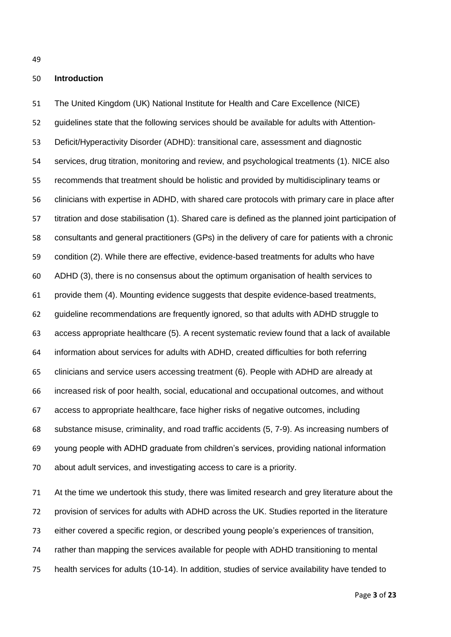## **Introduction**

 The United Kingdom (UK) National Institute for Health and Care Excellence (NICE) guidelines state that the following services should be available for adults with Attention- Deficit/Hyperactivity Disorder (ADHD): transitional care, assessment and diagnostic services, drug titration, monitoring and review, and psychological treatments (1). NICE also recommends that treatment should be holistic and provided by multidisciplinary teams or clinicians with expertise in ADHD, with shared care protocols with primary care in place after titration and dose stabilisation (1). Shared care is defined as the planned joint participation of consultants and general practitioners (GPs) in the delivery of care for patients with a chronic condition (2). While there are effective, evidence-based treatments for adults who have ADHD (3), there is no consensus about the optimum organisation of health services to provide them (4). Mounting evidence suggests that despite evidence-based treatments, guideline recommendations are frequently ignored, so that adults with ADHD struggle to access appropriate healthcare (5). A recent systematic review found that a lack of available information about services for adults with ADHD, created difficulties for both referring clinicians and service users accessing treatment (6). People with ADHD are already at increased risk of poor health, social, educational and occupational outcomes, and without access to appropriate healthcare, face higher risks of negative outcomes, including substance misuse, criminality, and road traffic accidents (5, 7-9). As increasing numbers of young people with ADHD graduate from children's services, providing national information about adult services, and investigating access to care is a priority.

 At the time we undertook this study, there was limited research and grey literature about the provision of services for adults with ADHD across the UK. Studies reported in the literature either covered a specific region, or described young people's experiences of transition, rather than mapping the services available for people with ADHD transitioning to mental health services for adults (10-14). In addition, studies of service availability have tended to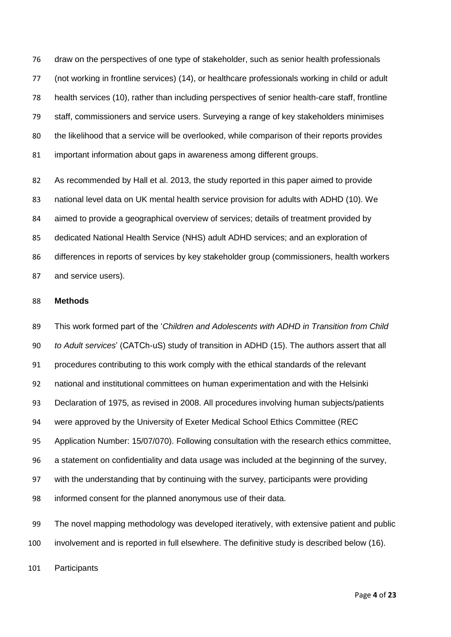draw on the perspectives of one type of stakeholder, such as senior health professionals (not working in frontline services) (14), or healthcare professionals working in child or adult health services (10), rather than including perspectives of senior health-care staff, frontline staff, commissioners and service users. Surveying a range of key stakeholders minimises the likelihood that a service will be overlooked, while comparison of their reports provides important information about gaps in awareness among different groups.

 As recommended by Hall et al. 2013, the study reported in this paper aimed to provide national level data on UK mental health service provision for adults with ADHD (10). We aimed to provide a geographical overview of services; details of treatment provided by dedicated National Health Service (NHS) adult ADHD services; and an exploration of differences in reports of services by key stakeholder group (commissioners, health workers and service users).

#### **Methods**

 This work formed part of the '*Children and Adolescents with ADHD in Transition from Child to Adult services*' (CATCh-uS) study of transition in ADHD (15). The authors assert that all procedures contributing to this work comply with the ethical standards of the relevant national and institutional committees on human experimentation and with the Helsinki Declaration of 1975, as revised in 2008. All procedures involving human subjects/patients were approved by the University of Exeter Medical School Ethics Committee (REC Application Number: 15/07/070). Following consultation with the research ethics committee, a statement on confidentiality and data usage was included at the beginning of the survey, with the understanding that by continuing with the survey, participants were providing informed consent for the planned anonymous use of their data. The novel mapping methodology was developed iteratively, with extensive patient and public

involvement and is reported in full elsewhere. The definitive study is described below (16).

Participants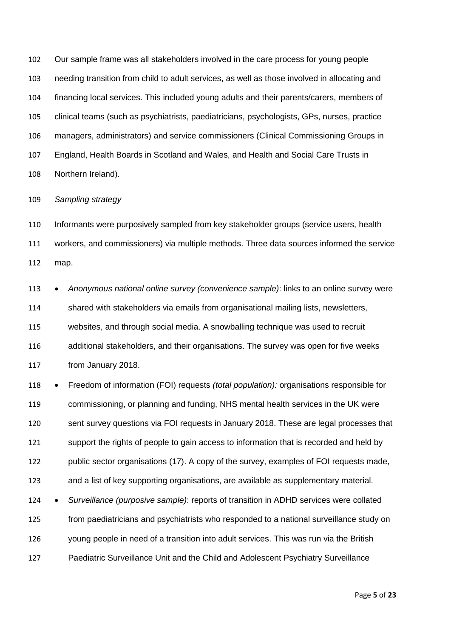Our sample frame was all stakeholders involved in the care process for young people needing transition from child to adult services, as well as those involved in allocating and financing local services. This included young adults and their parents/carers, members of clinical teams (such as psychiatrists, paediatricians, psychologists, GPs, nurses, practice managers, administrators) and service commissioners (Clinical Commissioning Groups in England, Health Boards in Scotland and Wales, and Health and Social Care Trusts in Northern Ireland).

*Sampling strategy*

 Informants were purposively sampled from key stakeholder groups (service users, health workers, and commissioners) via multiple methods. Three data sources informed the service map.

 *Anonymous national online survey (convenience sample)*: links to an online survey were shared with stakeholders via emails from organisational mailing lists, newsletters, websites, and through social media. A snowballing technique was used to recruit additional stakeholders, and their organisations. The survey was open for five weeks from January 2018.

 Freedom of information (FOI) requests *(total population):* organisations responsible for commissioning, or planning and funding, NHS mental health services in the UK were sent survey questions via FOI requests in January 2018. These are legal processes that support the rights of people to gain access to information that is recorded and held by public sector organisations (17). A copy of the survey, examples of FOI requests made, and a list of key supporting organisations, are available as supplementary material.

 *Surveillance (purposive sample)*: reports of transition in ADHD services were collated from paediatricians and psychiatrists who responded to a national surveillance study on young people in need of a transition into adult services. This was run via the British Paediatric Surveillance Unit and the Child and Adolescent Psychiatry Surveillance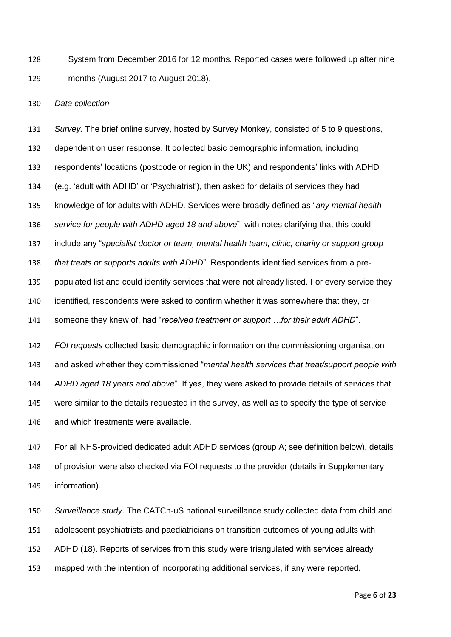System from December 2016 for 12 months. Reported cases were followed up after nine months (August 2017 to August 2018).

### *Data collection*

 *Survey*. The brief online survey, hosted by Survey Monkey, consisted of 5 to 9 questions, dependent on user response. It collected basic demographic information, including respondents' locations (postcode or region in the UK) and respondents' links with ADHD (e.g. 'adult with ADHD' or 'Psychiatrist'), then asked for details of services they had knowledge of for adults with ADHD. Services were broadly defined as "*any mental health service for people with ADHD aged 18 and above*", with notes clarifying that this could include any "*specialist doctor or team, mental health team, clinic, charity or support group that treats or supports adults with ADHD*". Respondents identified services from a pre- populated list and could identify services that were not already listed. For every service they identified, respondents were asked to confirm whether it was somewhere that they, or someone they knew of, had "*received treatment or support …for their adult ADHD*". *FOI requests* collected basic demographic information on the commissioning organisation and asked whether they commissioned "*mental health services that treat/support people with* 

 were similar to the details requested in the survey, as well as to specify the type of service and which treatments were available.

*ADHD aged 18 years and above*". If yes, they were asked to provide details of services that

 For all NHS-provided dedicated adult ADHD services (group A; see definition below), details of provision were also checked via FOI requests to the provider (details in Supplementary information).

 *Surveillance study*. The CATCh-uS national surveillance study collected data from child and adolescent psychiatrists and paediatricians on transition outcomes of young adults with ADHD (18). Reports of services from this study were triangulated with services already mapped with the intention of incorporating additional services, if any were reported.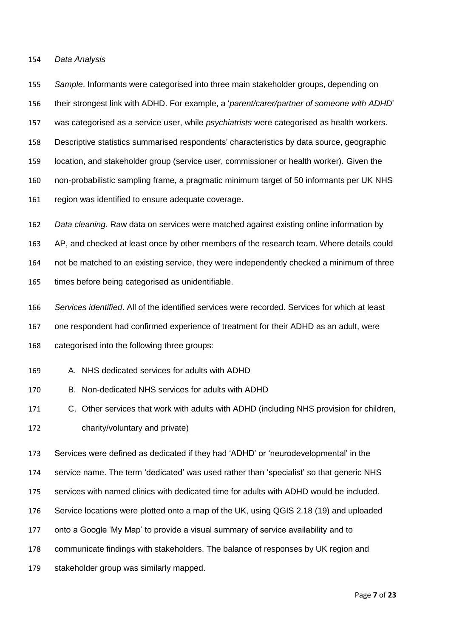*Data Analysis*

 *Sample*. Informants were categorised into three main stakeholder groups, depending on their strongest link with ADHD. For example, a '*parent/carer/partner of someone with ADHD*' was categorised as a service user, while *psychiatrists* were categorised as health workers. Descriptive statistics summarised respondents' characteristics by data source, geographic location, and stakeholder group (service user, commissioner or health worker). Given the non-probabilistic sampling frame, a pragmatic minimum target of 50 informants per UK NHS region was identified to ensure adequate coverage.

 *Data cleaning*. Raw data on services were matched against existing online information by AP, and checked at least once by other members of the research team. Where details could not be matched to an existing service, they were independently checked a minimum of three times before being categorised as unidentifiable.

 *Services identified*. All of the identified services were recorded. Services for which at least one respondent had confirmed experience of treatment for their ADHD as an adult, were categorised into the following three groups:

- A. NHS dedicated services for adults with ADHD
- B. Non-dedicated NHS services for adults with ADHD

 C. Other services that work with adults with ADHD (including NHS provision for children, charity/voluntary and private)

 Services were defined as dedicated if they had 'ADHD' or 'neurodevelopmental' in the service name. The term 'dedicated' was used rather than 'specialist' so that generic NHS services with named clinics with dedicated time for adults with ADHD would be included. Service locations were plotted onto a map of the UK, using QGIS 2.18 (19) and uploaded onto a Google 'My Map' to provide a visual summary of service availability and to communicate findings with stakeholders. The balance of responses by UK region and stakeholder group was similarly mapped.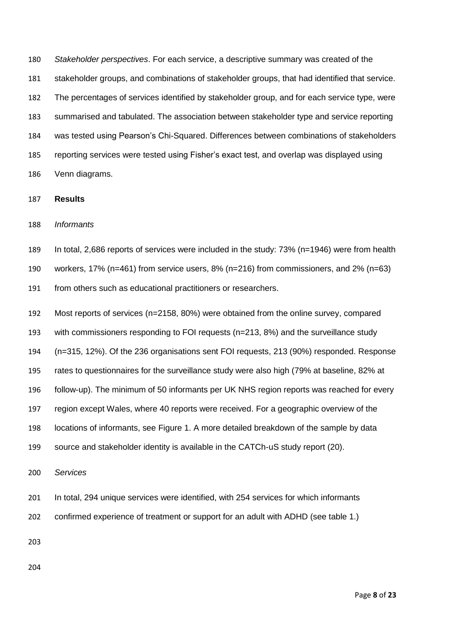*Stakeholder perspectives*. For each service, a descriptive summary was created of the stakeholder groups, and combinations of stakeholder groups, that had identified that service. The percentages of services identified by stakeholder group, and for each service type, were summarised and tabulated. The association between stakeholder type and service reporting was tested using Pearson's Chi-Squared. Differences between combinations of stakeholders reporting services were tested using Fisher's exact test, and overlap was displayed using Venn diagrams.

**Results**

*Informants*

In total, 2,686 reports of services were included in the study: 73% (n=1946) were from health

workers, 17% (n=461) from service users, 8% (n=216) from commissioners, and 2% (n=63)

from others such as educational practitioners or researchers.

 Most reports of services (n=2158, 80%) were obtained from the online survey, compared with commissioners responding to FOI requests (n=213, 8%) and the surveillance study (n=315, 12%). Of the 236 organisations sent FOI requests, 213 (90%) responded. Response rates to questionnaires for the surveillance study were also high (79% at baseline, 82% at follow-up). The minimum of 50 informants per UK NHS region reports was reached for every region except Wales, where 40 reports were received. For a geographic overview of the locations of informants, see Figure 1. A more detailed breakdown of the sample by data source and stakeholder identity is available in the CATCh-uS study report (20). *Services*

 In total, 294 unique services were identified, with 254 services for which informants confirmed experience of treatment or support for an adult with ADHD (see table 1.)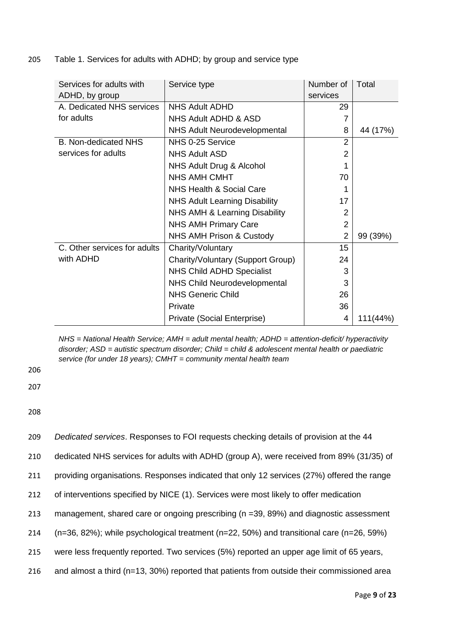| Services for adults with     | Service type                         | Number of      | Total    |
|------------------------------|--------------------------------------|----------------|----------|
| ADHD, by group               |                                      | services       |          |
| A. Dedicated NHS services    | <b>NHS Adult ADHD</b>                | 29             |          |
| for adults                   | NHS Adult ADHD & ASD                 |                |          |
|                              | NHS Adult Neurodevelopmental         | 8              | 44 (17%) |
| <b>B. Non-dedicated NHS</b>  | NHS 0-25 Service                     | 2              |          |
| services for adults          | <b>NHS Adult ASD</b>                 | 2              |          |
|                              | NHS Adult Drug & Alcohol             |                |          |
|                              | <b>NHS AMH CMHT</b>                  | 70             |          |
|                              | NHS Health & Social Care             |                |          |
|                              | <b>NHS Adult Learning Disability</b> | 17             |          |
|                              | NHS AMH & Learning Disability        | 2              |          |
|                              | <b>NHS AMH Primary Care</b>          | $\overline{2}$ |          |
|                              | NHS AMH Prison & Custody             | 2              | 99 (39%) |
| C. Other services for adults | Charity/Voluntary                    | 15             |          |
| with ADHD                    | Charity/Voluntary (Support Group)    | 24             |          |
|                              | <b>NHS Child ADHD Specialist</b>     | 3              |          |
|                              | <b>NHS Child Neurodevelopmental</b>  | 3              |          |
|                              | <b>NHS Generic Child</b>             | 26             |          |
|                              | Private                              | 36             |          |
|                              | Private (Social Enterprise)          | 4              | 111(44%) |

205 Table 1. Services for adults with ADHD; by group and service type

*NHS = National Health Service; AMH = adult mental health; ADHD = attention-deficit/ hyperactivity disorder; ASD = autistic spectrum disorder; Child = child & adolescent mental health or paediatric service (for under 18 years); CMHT = community mental health team*

206

207

| 209 | Dedicated services. Responses to FOI requests checking details of provision at the 44           |
|-----|-------------------------------------------------------------------------------------------------|
| 210 | dedicated NHS services for adults with ADHD (group A), were received from 89% (31/35) of        |
| 211 | providing organisations. Responses indicated that only 12 services (27%) offered the range      |
| 212 | of interventions specified by NICE (1). Services were most likely to offer medication           |
| 213 | management, shared care or ongoing prescribing (n =39, 89%) and diagnostic assessment           |
| 214 | $(n=36, 82%)$ ; while psychological treatment $(n=22, 50%)$ and transitional care $(n=26, 59%)$ |
| 215 | were less frequently reported. Two services (5%) reported an upper age limit of 65 years,       |
| 216 | and almost a third ( $n=13$ , 30%) reported that patients from outside their commissioned area  |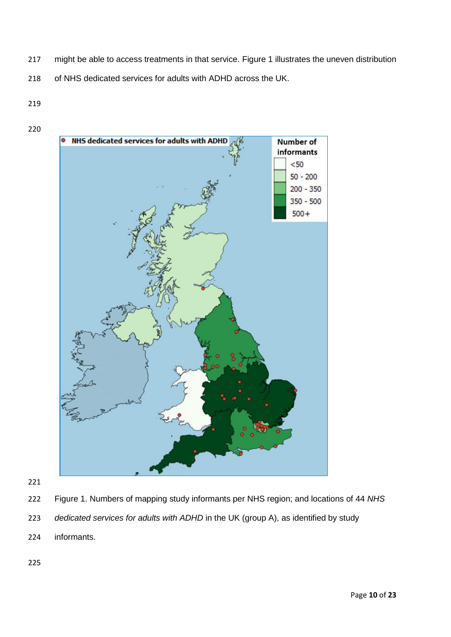- 217 might be able to access treatments in that service. Figure 1 illustrates the uneven distribution
- of NHS dedicated services for adults with ADHD across the UK.
- 
- 



- 
- Figure 1. Numbers of mapping study informants per NHS region; and locations of 44 *NHS*
- *dedicated services for adults with ADHD* in the UK (group A), as identified by study
- informants.
-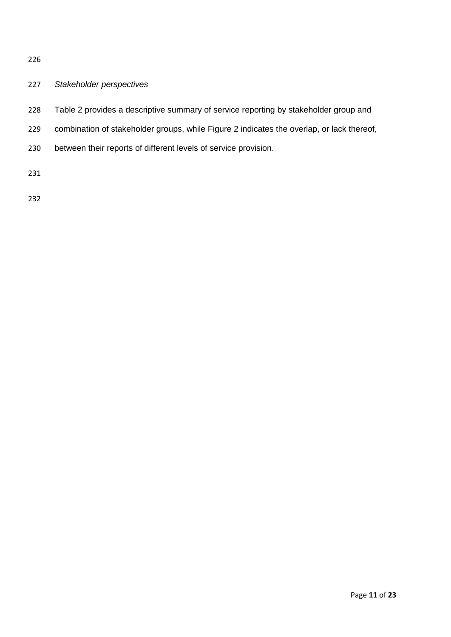# *Stakeholder perspectives*

- Table 2 provides a descriptive summary of service reporting by stakeholder group and
- combination of stakeholder groups, while Figure 2 indicates the overlap, or lack thereof,
- between their reports of different levels of service provision.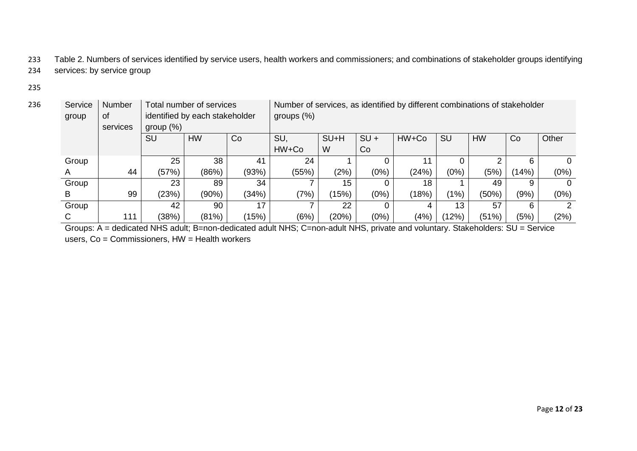233 Table 2. Numbers of services identified by service users, health workers and commissioners; and combinations of stakeholder groups identifying 234 services: by service group

235

236

| Service<br>group | <b>Number</b><br><b>of</b> | Total number of services<br>identified by each stakeholder<br>group $(\%)$ |           |       | Number of services, as identified by different combinations of stakeholder<br>groups (%) |        |        |           |           |           |       |          |
|------------------|----------------------------|----------------------------------------------------------------------------|-----------|-------|------------------------------------------------------------------------------------------|--------|--------|-----------|-----------|-----------|-------|----------|
|                  | services                   |                                                                            |           |       |                                                                                          |        |        |           |           |           |       |          |
|                  |                            | SU                                                                         | <b>HW</b> | Co    | SU,                                                                                      | $SU+H$ | $SU +$ | $HW + Co$ | <b>SU</b> | <b>HW</b> | Co    | Other    |
|                  |                            |                                                                            |           |       | HW+Co                                                                                    | W      | Co     |           |           |           |       |          |
| Group            |                            | 25                                                                         | 38        | 41    | 24                                                                                       |        |        |           |           |           | 6     |          |
|                  | 44                         | (57%)                                                                      | (86%)     | (93%) | (55%)                                                                                    | (2%)   | (0%)   | (24%)     | (0%)      | (5%)      | (14%) | $(0\%)$  |
| Group            |                            | 23                                                                         | 89        | 34    |                                                                                          | 15     |        | 18        |           | 49        |       | $\Omega$ |
| В                | 99                         | (23%)                                                                      | $(90\%)$  | (34%) | (7%)                                                                                     | (15%)  | (0%)   | (18%)     | (1%)      | (50%)     | (9%)  | (0%)     |
| Group            |                            | 42                                                                         | 90        | 17    |                                                                                          | 22     |        | 4         | 13        | 57        | 6     |          |
| С                | 111                        | (38%)                                                                      | (81%)     | (15%) | (6%)                                                                                     | (20%)  | (0%)   | (4%)      | (12%)     | (51%)     | (5%)  | (2%)     |

Groups: A = dedicated NHS adult; B=non-dedicated adult NHS; C=non-adult NHS, private and voluntary. Stakeholders: SU = Service users, Co = Commissioners, HW = Health workers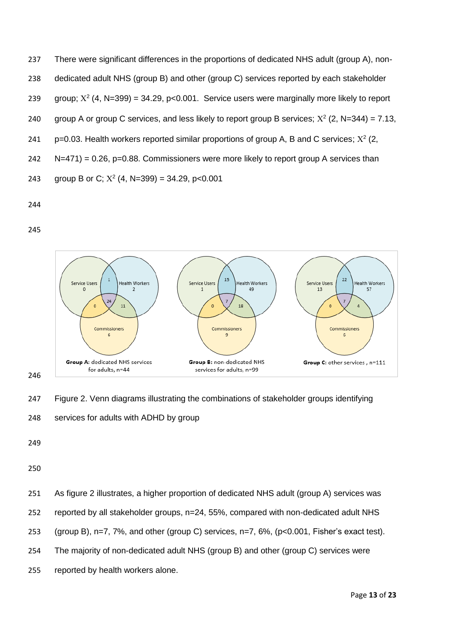There were significant differences in the proportions of dedicated NHS adult (group A), non- dedicated adult NHS (group B) and other (group C) services reported by each stakeholder 239 group;  $X^2$  (4, N=399) = 34.29, p<0.001. Service users were marginally more likely to report 240 group A or group C services, and less likely to report group B services;  $X^2$  (2, N=344) = 7.13, 241 p=0.03. Health workers reported similar proportions of group A, B and C services;  $X^2$  (2, N=471) = 0.26, p=0.88. Commissioners were more likely to report group A services than 243 group B or C;  $X^2$  (4, N=399) = 34.29, p<0.001

- 
- 



- Figure 2. Venn diagrams illustrating the combinations of stakeholder groups identifying
- services for adults with ADHD by group
- 
- 

As figure 2 illustrates, a higher proportion of dedicated NHS adult (group A) services was

- reported by all stakeholder groups, n=24, 55%, compared with non-dedicated adult NHS
- (group B), n=7, 7%, and other (group C) services, n=7, 6%, (p<0.001, Fisher's exact test).
- The majority of non-dedicated adult NHS (group B) and other (group C) services were
- reported by health workers alone.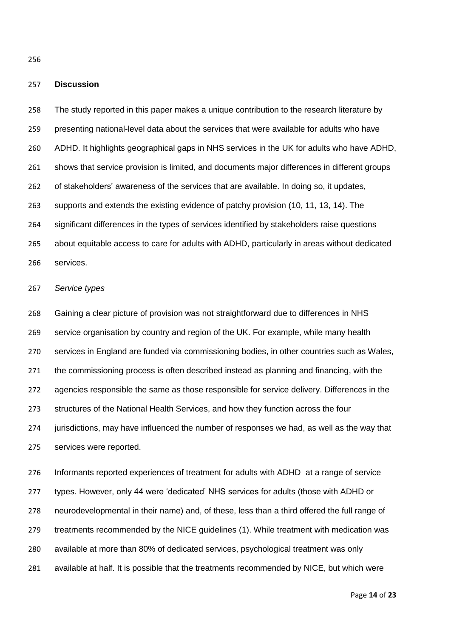### **Discussion**

 The study reported in this paper makes a unique contribution to the research literature by presenting national-level data about the services that were available for adults who have ADHD. It highlights geographical gaps in NHS services in the UK for adults who have ADHD, shows that service provision is limited, and documents major differences in different groups of stakeholders' awareness of the services that are available. In doing so, it updates, supports and extends the existing evidence of patchy provision (10, 11, 13, 14). The significant differences in the types of services identified by stakeholders raise questions about equitable access to care for adults with ADHD, particularly in areas without dedicated services.

#### *Service types*

 Gaining a clear picture of provision was not straightforward due to differences in NHS service organisation by country and region of the UK. For example, while many health services in England are funded via commissioning bodies, in other countries such as Wales, the commissioning process is often described instead as planning and financing, with the agencies responsible the same as those responsible for service delivery. Differences in the structures of the National Health Services, and how they function across the four jurisdictions, may have influenced the number of responses we had, as well as the way that services were reported.

 Informants reported experiences of treatment for adults with ADHD at a range of service types. However, only 44 were 'dedicated' NHS services for adults (those with ADHD or neurodevelopmental in their name) and, of these, less than a third offered the full range of treatments recommended by the NICE guidelines (1). While treatment with medication was available at more than 80% of dedicated services, psychological treatment was only available at half. It is possible that the treatments recommended by NICE, but which were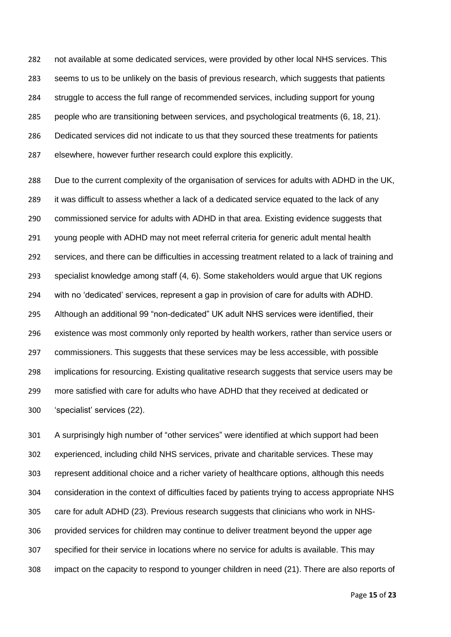not available at some dedicated services, were provided by other local NHS services. This 283 seems to us to be unlikely on the basis of previous research, which suggests that patients struggle to access the full range of recommended services, including support for young people who are transitioning between services, and psychological treatments (6, 18, 21). Dedicated services did not indicate to us that they sourced these treatments for patients elsewhere, however further research could explore this explicitly.

 Due to the current complexity of the organisation of services for adults with ADHD in the UK, it was difficult to assess whether a lack of a dedicated service equated to the lack of any commissioned service for adults with ADHD in that area. Existing evidence suggests that young people with ADHD may not meet referral criteria for generic adult mental health services, and there can be difficulties in accessing treatment related to a lack of training and specialist knowledge among staff (4, 6). Some stakeholders would argue that UK regions with no 'dedicated' services, represent a gap in provision of care for adults with ADHD. Although an additional 99 "non-dedicated" UK adult NHS services were identified, their existence was most commonly only reported by health workers, rather than service users or commissioners. This suggests that these services may be less accessible, with possible implications for resourcing. Existing qualitative research suggests that service users may be more satisfied with care for adults who have ADHD that they received at dedicated or 'specialist' services (22).

 A surprisingly high number of "other services" were identified at which support had been experienced, including child NHS services, private and charitable services. These may represent additional choice and a richer variety of healthcare options, although this needs consideration in the context of difficulties faced by patients trying to access appropriate NHS care for adult ADHD (23). Previous research suggests that clinicians who work in NHS- provided services for children may continue to deliver treatment beyond the upper age specified for their service in locations where no service for adults is available. This may impact on the capacity to respond to younger children in need (21). There are also reports of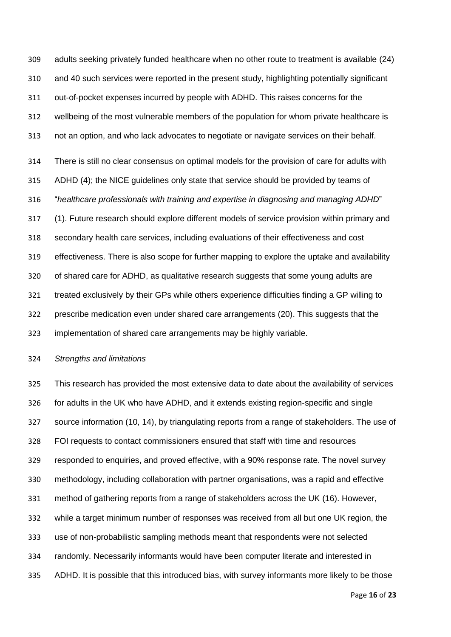adults seeking privately funded healthcare when no other route to treatment is available (24) and 40 such services were reported in the present study, highlighting potentially significant out-of-pocket expenses incurred by people with ADHD. This raises concerns for the wellbeing of the most vulnerable members of the population for whom private healthcare is not an option, and who lack advocates to negotiate or navigate services on their behalf. There is still no clear consensus on optimal models for the provision of care for adults with ADHD (4); the NICE guidelines only state that service should be provided by teams of "*healthcare professionals with training and expertise in diagnosing and managing ADHD*"

 (1). Future research should explore different models of service provision within primary and secondary health care services, including evaluations of their effectiveness and cost effectiveness. There is also scope for further mapping to explore the uptake and availability of shared care for ADHD, as qualitative research suggests that some young adults are treated exclusively by their GPs while others experience difficulties finding a GP willing to prescribe medication even under shared care arrangements (20). This suggests that the implementation of shared care arrangements may be highly variable.

#### *Strengths and limitations*

 This research has provided the most extensive data to date about the availability of services for adults in the UK who have ADHD, and it extends existing region-specific and single source information (10, 14), by triangulating reports from a range of stakeholders. The use of FOI requests to contact commissioners ensured that staff with time and resources responded to enquiries, and proved effective, with a 90% response rate. The novel survey methodology, including collaboration with partner organisations, was a rapid and effective method of gathering reports from a range of stakeholders across the UK (16). However, while a target minimum number of responses was received from all but one UK region, the use of non-probabilistic sampling methods meant that respondents were not selected randomly. Necessarily informants would have been computer literate and interested in ADHD. It is possible that this introduced bias, with survey informants more likely to be those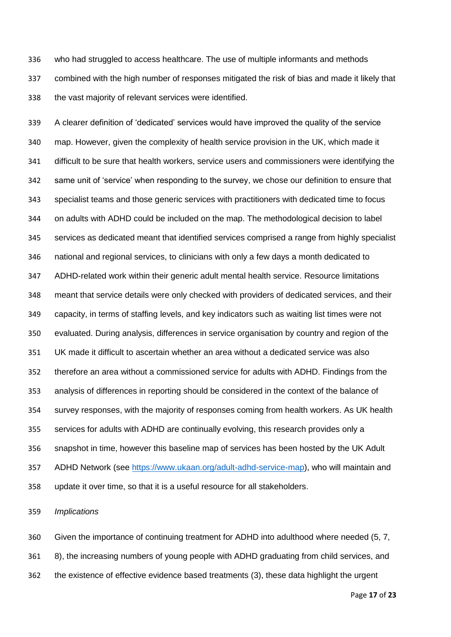who had struggled to access healthcare. The use of multiple informants and methods combined with the high number of responses mitigated the risk of bias and made it likely that the vast majority of relevant services were identified.

 A clearer definition of 'dedicated' services would have improved the quality of the service map. However, given the complexity of health service provision in the UK, which made it difficult to be sure that health workers, service users and commissioners were identifying the same unit of 'service' when responding to the survey, we chose our definition to ensure that specialist teams and those generic services with practitioners with dedicated time to focus on adults with ADHD could be included on the map. The methodological decision to label services as dedicated meant that identified services comprised a range from highly specialist national and regional services, to clinicians with only a few days a month dedicated to ADHD-related work within their generic adult mental health service. Resource limitations meant that service details were only checked with providers of dedicated services, and their capacity, in terms of staffing levels, and key indicators such as waiting list times were not evaluated. During analysis, differences in service organisation by country and region of the UK made it difficult to ascertain whether an area without a dedicated service was also therefore an area without a commissioned service for adults with ADHD. Findings from the analysis of differences in reporting should be considered in the context of the balance of survey responses, with the majority of responses coming from health workers. As UK health services for adults with ADHD are continually evolving, this research provides only a snapshot in time, however this baseline map of services has been hosted by the UK Adult ADHD Network (see [https://www.ukaan.org/adult-adhd-service-map\)](https://www.ukaan.org/adult-adhd-service-map), who will maintain and update it over time, so that it is a useful resource for all stakeholders.

*Implications*

 Given the importance of continuing treatment for ADHD into adulthood where needed (5, 7, 8), the increasing numbers of young people with ADHD graduating from child services, and the existence of effective evidence based treatments (3), these data highlight the urgent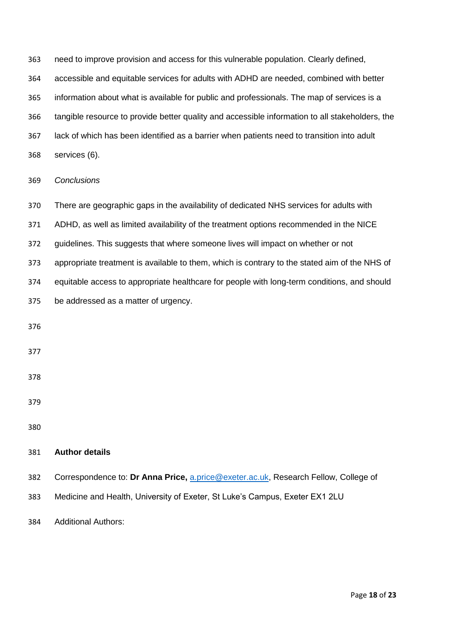need to improve provision and access for this vulnerable population. Clearly defined, accessible and equitable services for adults with ADHD are needed, combined with better information about what is available for public and professionals. The map of services is a tangible resource to provide better quality and accessible information to all stakeholders, the lack of which has been identified as a barrier when patients need to transition into adult services (6).

*Conclusions*

 There are geographic gaps in the availability of dedicated NHS services for adults with ADHD, as well as limited availability of the treatment options recommended in the NICE guidelines. This suggests that where someone lives will impact on whether or not appropriate treatment is available to them, which is contrary to the stated aim of the NHS of equitable access to appropriate healthcare for people with long-term conditions, and should

- be addressed as a matter of urgency.
- 

- 
- 
- 

## **Author details**

Correspondence to: **Dr Anna Price,** [a.price@exeter.ac.uk,](mailto:a.price@exeter.ac.uk) Research Fellow, College of

Medicine and Health, University of Exeter, St Luke's Campus, Exeter EX1 2LU

Additional Authors: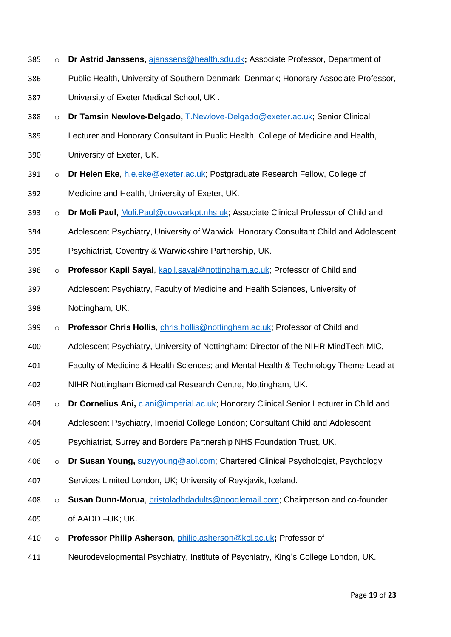- o **Dr Astrid Janssens,** [ajanssens@health.sdu.dk](mailto:ajanssens@health.sdu.dk)**;** Associate Professor, Department of
- Public Health, University of Southern Denmark, Denmark; Honorary Associate Professor, University of Exeter Medical School, UK .
- o **Dr Tamsin Newlove-Delgado,** [T.Newlove-Delgado@exeter.ac.uk;](mailto:T.Newlove-Delgado@exeter.ac.uk) Senior Clinical
- Lecturer and Honorary Consultant in Public Health, College of Medicine and Health,
- University of Exeter, UK.
- o **Dr Helen Eke**, [h.e.eke@exeter.ac.uk;](mailto:h.e.eke@exeter.ac.uk) Postgraduate Research Fellow, College of Medicine and Health, University of Exeter, UK.
- o **Dr Moli Paul**, [Moli.Paul@covwarkpt.nhs.uk;](mailto:Moli.Paul@covwarkpt.nhs.uk) Associate Clinical Professor of Child and
- Adolescent Psychiatry, University of Warwick; Honorary Consultant Child and Adolescent
- Psychiatrist, Coventry & Warwickshire Partnership, UK.
- o **Professor Kapil Sayal**, [kapil.sayal@nottingham.ac.uk;](mailto:kapil.sayal@nottingham.ac.uk) Professor of Child and
- Adolescent Psychiatry, Faculty of Medicine and Health Sciences, University of Nottingham, UK.
- o **Professor Chris Hollis**, [chris.hollis@nottingham.ac.uk;](mailto:chris.hollis@nottingham.ac.uk) Professor of Child and
- Adolescent Psychiatry, University of Nottingham; Director of the NIHR MindTech MIC,
- Faculty of Medicine & Health Sciences; and Mental Health & Technology Theme Lead at
- NIHR Nottingham Biomedical Research Centre, Nottingham, UK.
- o **Dr Cornelius Ani,** [c.ani@imperial.ac.uk;](mailto:c.ani@imperial.ac.uk) Honorary Clinical Senior Lecturer in Child and
- Adolescent Psychiatry, Imperial College London; Consultant Child and Adolescent
- Psychiatrist, Surrey and Borders Partnership NHS Foundation Trust, UK.
- o **Dr Susan Young,** [suzyyoung@aol.com;](mailto:suzyyoung@aol.com) Chartered Clinical Psychologist, Psychology
- Services Limited London, UK; University of Reykjavik, Iceland.
- o **Susan Dunn-Morua**, [bristoladhdadults@googlemail.com;](mailto:bristoladhdadults@googlemail.com) Chairperson and co-founder
- of AADD –UK; UK.
- o **Professor Philip Asherson**, [philip.asherson@kcl.ac.uk](mailto:philip.asherson@kcl.ac.uk)**;** Professor of
- Neurodevelopmental Psychiatry, Institute of Psychiatry, King's College London, UK.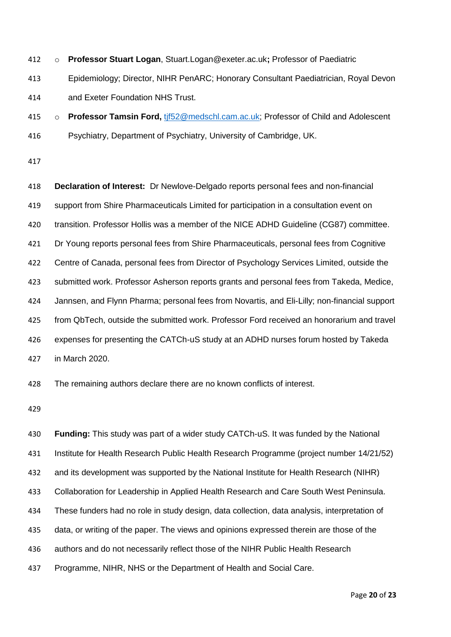- o **Professor Stuart Logan**, Stuart.Logan@exeter.ac.uk**;** Professor of Paediatric Epidemiology; Director, NIHR PenARC; Honorary Consultant Paediatrician, Royal Devon and Exeter Foundation NHS Trust.
- o **Professor Tamsin Ford,** [tjf52@medschl.cam.ac.uk;](mailto:tjf52@medschl.cam.ac.uk) Professor of Child and Adolescent
- Psychiatry, Department of Psychiatry, University of Cambridge, UK.
- 

 **Declaration of Interest:** Dr Newlove-Delgado reports personal fees and non-financial support from Shire Pharmaceuticals Limited for participation in a consultation event on transition. Professor Hollis was a member of the NICE ADHD Guideline (CG87) committee. Dr Young reports personal fees from Shire Pharmaceuticals, personal fees from Cognitive 422 Centre of Canada, personal fees from Director of Psychology Services Limited, outside the submitted work. Professor Asherson reports grants and personal fees from Takeda, Medice, Jannsen, and Flynn Pharma; personal fees from Novartis, and Eli-Lilly; non-financial support from QbTech, outside the submitted work. Professor Ford received an honorarium and travel expenses for presenting the CATCh-uS study at an ADHD nurses forum hosted by Takeda in March 2020.

The remaining authors declare there are no known conflicts of interest.

 **Funding:** This study was part of a wider study CATCh-uS. It was funded by the National Institute for Health Research Public Health Research Programme (project number 14/21/52) and its development was supported by the National Institute for Health Research (NIHR) Collaboration for Leadership in Applied Health Research and Care South West Peninsula. These funders had no role in study design, data collection, data analysis, interpretation of data, or writing of the paper. The views and opinions expressed therein are those of the authors and do not necessarily reflect those of the NIHR Public Health Research Programme, NIHR, NHS or the Department of Health and Social Care.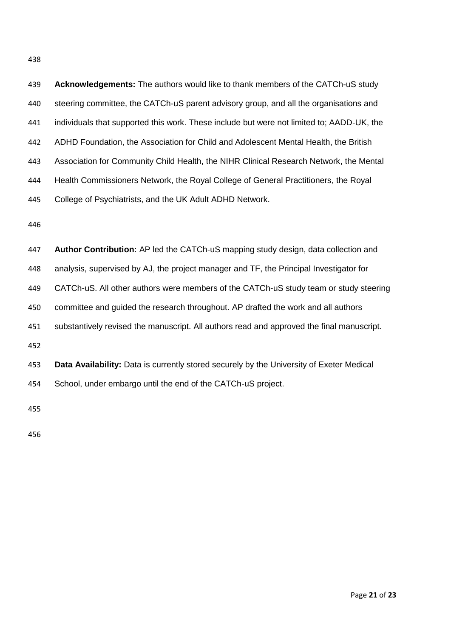| 439 | Acknowledgements: The authors would like to thank members of the CATCh-uS study           |
|-----|-------------------------------------------------------------------------------------------|
| 440 | steering committee, the CATCh-uS parent advisory group, and all the organisations and     |
| 441 | individuals that supported this work. These include but were not limited to; AADD-UK, the |
| 442 | ADHD Foundation, the Association for Child and Adolescent Mental Health, the British      |
| 443 | Association for Community Child Health, the NIHR Clinical Research Network, the Mental    |
| 444 | Health Commissioners Network, the Royal College of General Practitioners, the Royal       |
| 445 | College of Psychiatrists, and the UK Adult ADHD Network.                                  |
| 446 |                                                                                           |
| 447 | <b>Author Contribution:</b> AP led the CATCh-uS mapping study design, data collection and |
| 448 | analysis, supervised by AJ, the project manager and TF, the Principal Investigator for    |
| 449 | CATCh-uS. All other authors were members of the CATCh-uS study team or study steering     |
| 450 | committee and guided the research throughout. AP drafted the work and all authors         |
| 451 | substantively revised the manuscript. All authors read and approved the final manuscript. |
| 452 |                                                                                           |

 **Data Availability:** Data is currently stored securely by the University of Exeter Medical School, under embargo until the end of the CATCh-uS project.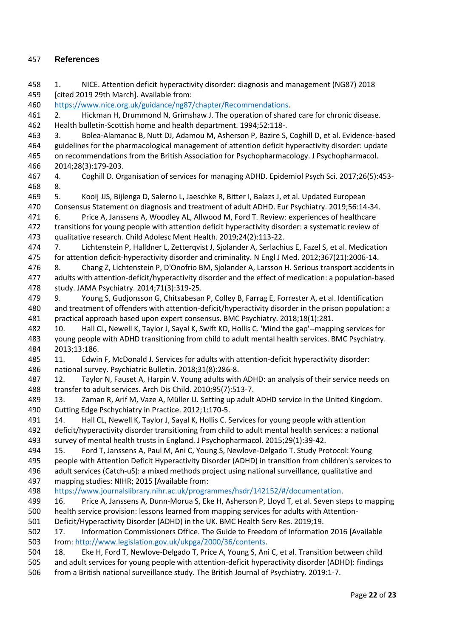## **References**

 1. NICE. Attention deficit hyperactivity disorder: diagnosis and management (NG87) 2018 [cited 2019 29th March]. Available from: [https://www.nice.org.uk/guidance/ng87/chapter/Recommendations.](https://www.nice.org.uk/guidance/ng87/chapter/Recommendations) 2. Hickman H, Drummond N, Grimshaw J. The operation of shared care for chronic disease. Health bulletin-Scottish home and health department. 1994;52:118-. 3. Bolea-Alamanac B, Nutt DJ, Adamou M, Asherson P, Bazire S, Coghill D, et al. Evidence-based guidelines for the pharmacological management of attention deficit hyperactivity disorder: update on recommendations from the British Association for Psychopharmacology. J Psychopharmacol. 2014;28(3):179-203. 4. Coghill D. Organisation of services for managing ADHD. Epidemiol Psych Sci. 2017;26(5):453- 8. 5. Kooij JJS, Bijlenga D, Salerno L, Jaeschke R, Bitter I, Balazs J, et al. Updated European Consensus Statement on diagnosis and treatment of adult ADHD. Eur Psychiatry. 2019;56:14-34. 6. Price A, Janssens A, Woodley AL, Allwood M, Ford T. Review: experiences of healthcare transitions for young people with attention deficit hyperactivity disorder: a systematic review of qualitative research. Child Adolesc Ment Health. 2019;24(2):113-22. 7. Lichtenstein P, Halldner L, Zetterqvist J, Sjolander A, Serlachius E, Fazel S, et al. Medication for attention deficit-hyperactivity disorder and criminality. N Engl J Med. 2012;367(21):2006-14. 8. Chang Z, Lichtenstein P, D'Onofrio BM, Sjolander A, Larsson H. Serious transport accidents in adults with attention-deficit/hyperactivity disorder and the effect of medication: a population-based study. JAMA Psychiatry. 2014;71(3):319-25. 9. Young S, Gudjonsson G, Chitsabesan P, Colley B, Farrag E, Forrester A, et al. Identification and treatment of offenders with attention-deficit/hyperactivity disorder in the prison population: a practical approach based upon expert consensus. BMC Psychiatry. 2018;18(1):281. 10. Hall CL, Newell K, Taylor J, Sayal K, Swift KD, Hollis C. 'Mind the gap'--mapping services for young people with ADHD transitioning from child to adult mental health services. BMC Psychiatry. 2013;13:186. 11. Edwin F, McDonald J. Services for adults with attention-deficit hyperactivity disorder: national survey. Psychiatric Bulletin. 2018;31(8):286-8. 12. Taylor N, Fauset A, Harpin V. Young adults with ADHD: an analysis of their service needs on transfer to adult services. Arch Dis Child. 2010;95(7):513-7. 13. Zaman R, Arif M, Vaze A, Müller U. Setting up adult ADHD service in the United Kingdom. Cutting Edge Pschychiatry in Practice. 2012;1:170-5. 491 14. Hall CL, Newell K, Taylor J, Sayal K, Hollis C. Services for young people with attention deficit/hyperactivity disorder transitioning from child to adult mental health services: a national survey of mental health trusts in England. J Psychopharmacol. 2015;29(1):39-42. 15. Ford T, Janssens A, Paul M, Ani C, Young S, Newlove-Delgado T. Study Protocol: Young people with Attention Deficit Hyperactivity Disorder (ADHD) in transition from children's services to adult services (Catch-uS): a mixed methods project using national surveillance, qualitative and mapping studies: NIHR; 2015 [Available from: [https://www.journalslibrary.nihr.ac.uk/programmes/hsdr/142152/#/documentation.](https://www.journalslibrary.nihr.ac.uk/programmes/hsdr/142152/#/documentation) 16. Price A, Janssens A, Dunn-Morua S, Eke H, Asherson P, Lloyd T, et al. Seven steps to mapping health service provision: lessons learned from mapping services for adults with Attention- Deficit/Hyperactivity Disorder (ADHD) in the UK. BMC Health Serv Res. 2019;19. 17. Information Commissioners Office. The Guide to Freedom of Information 2016 [Available from: [http://www.legislation.gov.uk/ukpga/2000/36/contents.](http://www.legislation.gov.uk/ukpga/2000/36/contents) 18. Eke H, Ford T, Newlove-Delgado T, Price A, Young S, Ani C, et al. Transition between child and adult services for young people with attention-deficit hyperactivity disorder (ADHD): findings from a British national surveillance study. The British Journal of Psychiatry. 2019:1-7.